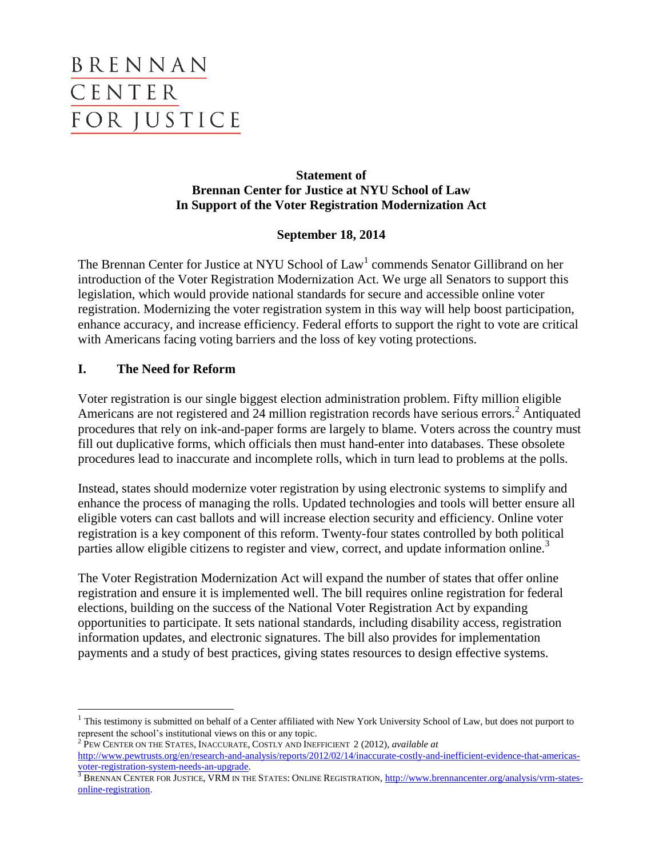# BRENNAN CENTER **FOR JUSTICE**

## **Statement of Brennan Center for Justice at NYU School of Law In Support of the Voter Registration Modernization Act**

## **September 18, 2014**

The Brennan Center for Justice at NYU School of Law<sup>1</sup> commends Senator Gillibrand on her introduction of the Voter Registration Modernization Act. We urge all Senators to support this legislation, which would provide national standards for secure and accessible online voter registration. Modernizing the voter registration system in this way will help boost participation, enhance accuracy, and increase efficiency. Federal efforts to support the right to vote are critical with Americans facing voting barriers and the loss of key voting protections.

# **I. The Need for Reform**

 $\overline{\phantom{a}}$ 

Voter registration is our single biggest election administration problem. Fifty million eligible Americans are not registered and 24 million registration records have serious errors.<sup>2</sup> Antiquated procedures that rely on ink-and-paper forms are largely to blame. Voters across the country must fill out duplicative forms, which officials then must hand-enter into databases. These obsolete procedures lead to inaccurate and incomplete rolls, which in turn lead to problems at the polls.

Instead, states should modernize voter registration by using electronic systems to simplify and enhance the process of managing the rolls. Updated technologies and tools will better ensure all eligible voters can cast ballots and will increase election security and efficiency. Online voter registration is a key component of this reform. Twenty-four states controlled by both political parties allow eligible citizens to register and view, correct, and update information online.<sup>3</sup>

The Voter Registration Modernization Act will expand the number of states that offer online registration and ensure it is implemented well. The bill requires online registration for federal elections, building on the success of the National Voter Registration Act by expanding opportunities to participate. It sets national standards, including disability access, registration information updates, and electronic signatures. The bill also provides for implementation payments and a study of best practices, giving states resources to design effective systems.

 $1$  This testimony is submitted on behalf of a Center affiliated with New York University School of Law, but does not purport to represent the school's institutional views on this or any topic.

<sup>2</sup> PEW CENTER ON THE STATES, INACCURATE, COSTLY AND INEFFICIENT 2 (2012), *available at*  [http://www.pewtrusts.org/en/research-and-analysis/reports/2012/02/14/inaccurate-costly-and-inefficient-evidence-that-americas](http://www.pewtrusts.org/en/research-and-analysis/reports/2012/02/14/inaccurate-costly-and-inefficient-evidence-that-americas-voter-registration-system-needs-an-upgrade)[voter-registration-system-needs-an-upgrade.](http://www.pewtrusts.org/en/research-and-analysis/reports/2012/02/14/inaccurate-costly-and-inefficient-evidence-that-americas-voter-registration-system-needs-an-upgrade) 

<sup>&</sup>lt;sup>3</sup> BRENNAN CENTER FOR JUSTICE, VRM IN THE STATES: ONLINE REGISTRATION[, http://www.brennancenter.org/analysis/vrm-states](http://www.brennancenter.org/analysis/vrm-states-online-registration)[online-registration.](http://www.brennancenter.org/analysis/vrm-states-online-registration)